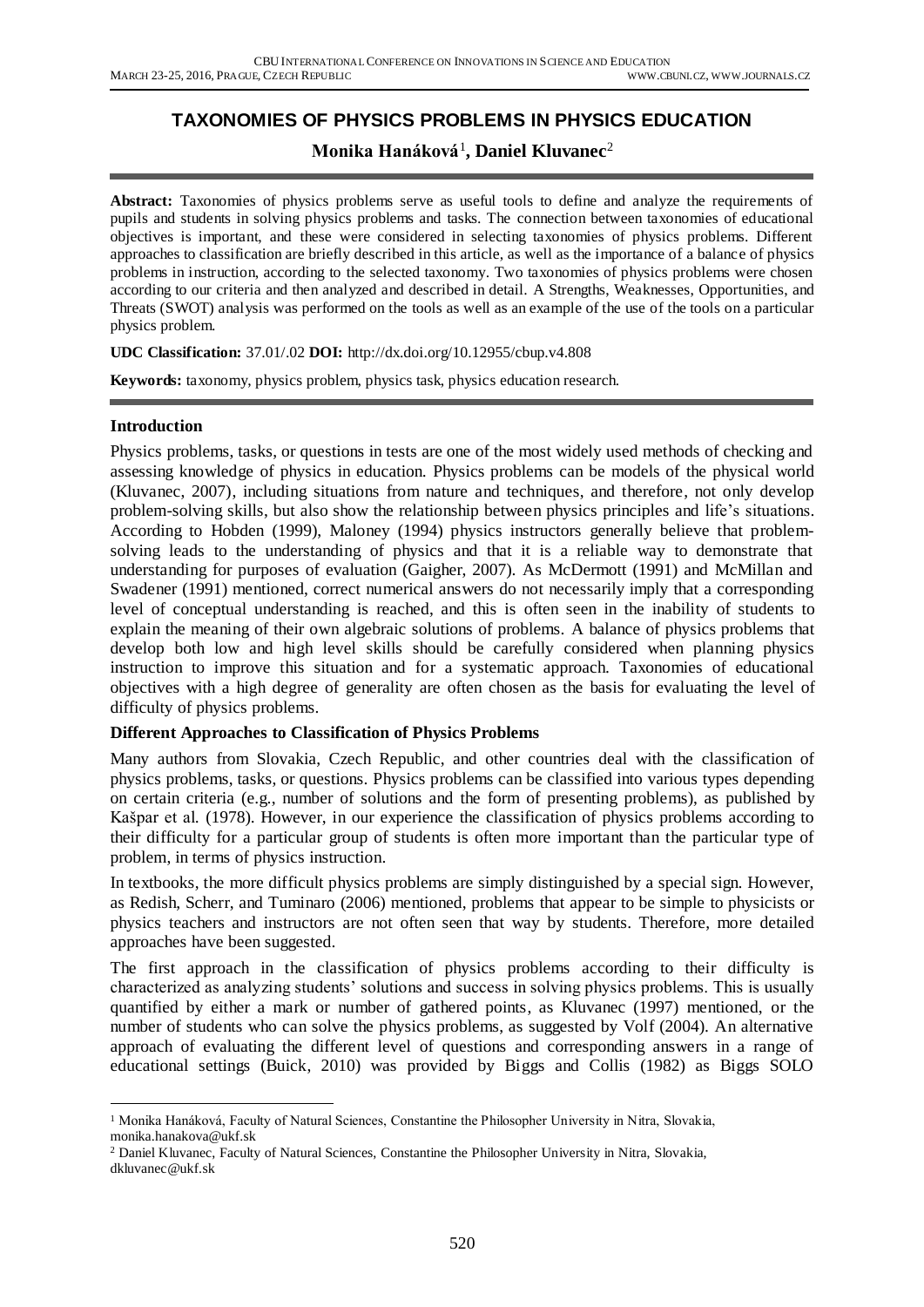# **TAXONOMIES OF PHYSICS PROBLEMS IN PHYSICS EDUCATION**

## **Monika Hanáková**<sup>1</sup> **, Daniel Kluvanec**<sup>2</sup>

**Abstract:** Taxonomies of physics problems serve as useful tools to define and analyze the requirements of pupils and students in solving physics problems and tasks. The connection between taxonomies of educational objectives is important, and these were considered in selecting taxonomies of physics problems. Different approaches to classification are briefly described in this article, as well as the importance of a balance of physics problems in instruction, according to the selected taxonomy. Two taxonomies of physics problems were chosen according to our criteria and then analyzed and described in detail. A Strengths, Weaknesses, Opportunities, and Threats (SWOT) analysis was performed on the tools as well as an example of the use of the tools on a particular physics problem.

**UDC Classification:** 37.01/.02 **DOI:** http://dx.doi.org/10.12955/cbup.v4.808

**Keywords:** taxonomy, physics problem, physics task, physics education research.

#### **Introduction**

 $\overline{a}$ 

Physics problems, tasks, or questions in tests are one of the most widely used methods of checking and assessing knowledge of physics in education. Physics problems can be models of the physical world (Kluvanec, 2007), including situations from nature and techniques, and therefore, not only develop problem-solving skills, but also show the relationship between physics principles and life's situations. According to Hobden (1999), Maloney (1994) physics instructors generally believe that problemsolving leads to the understanding of physics and that it is a reliable way to demonstrate that understanding for purposes of evaluation (Gaigher, 2007). As McDermott (1991) and McMillan and Swadener (1991) mentioned, correct numerical answers do not necessarily imply that a corresponding level of conceptual understanding is reached, and this is often seen in the inability of students to explain the meaning of their own algebraic solutions of problems. A balance of physics problems that develop both low and high level skills should be carefully considered when planning physics instruction to improve this situation and for a systematic approach. Taxonomies of educational objectives with a high degree of generality are often chosen as the basis for evaluating the level of difficulty of physics problems.

#### **Different Approaches to Classification of Physics Problems**

Many authors from Slovakia, Czech Republic, and other countries deal with the classification of physics problems, tasks, or questions. Physics problems can be classified into various types depending on certain criteria (e.g., number of solutions and the form of presenting problems), as published by Kašpar et al. (1978). However, in our experience the classification of physics problems according to their difficulty for a particular group of students is often more important than the particular type of problem, in terms of physics instruction.

In textbooks, the more difficult physics problems are simply distinguished by a special sign. However, as Redish, Scherr, and Tuminaro (2006) mentioned, problems that appear to be simple to physicists or physics teachers and instructors are not often seen that way by students. Therefore, more detailed approaches have been suggested.

The first approach in the classification of physics problems according to their difficulty is characterized as analyzing students' solutions and success in solving physics problems. This is usually quantified by either a mark or number of gathered points, as Kluvanec (1997) mentioned, or the number of students who can solve the physics problems, as suggested by Volf (2004). An alternative approach of evaluating the different level of questions and corresponding answers in a range of educational settings (Buick, 2010) was provided by Biggs and Collis (1982) as Biggs SOLO

<sup>&</sup>lt;sup>1</sup> Monika Hanáková, Faculty of Natural Sciences, Constantine the Philosopher University in Nitra, Slovakia, monika.hanakova@ukf.sk

<sup>2</sup> Daniel Kluvanec, Faculty of Natural Sciences, Constantine the Philosopher University in Nitra, Slovakia, dkluvanec@ukf.sk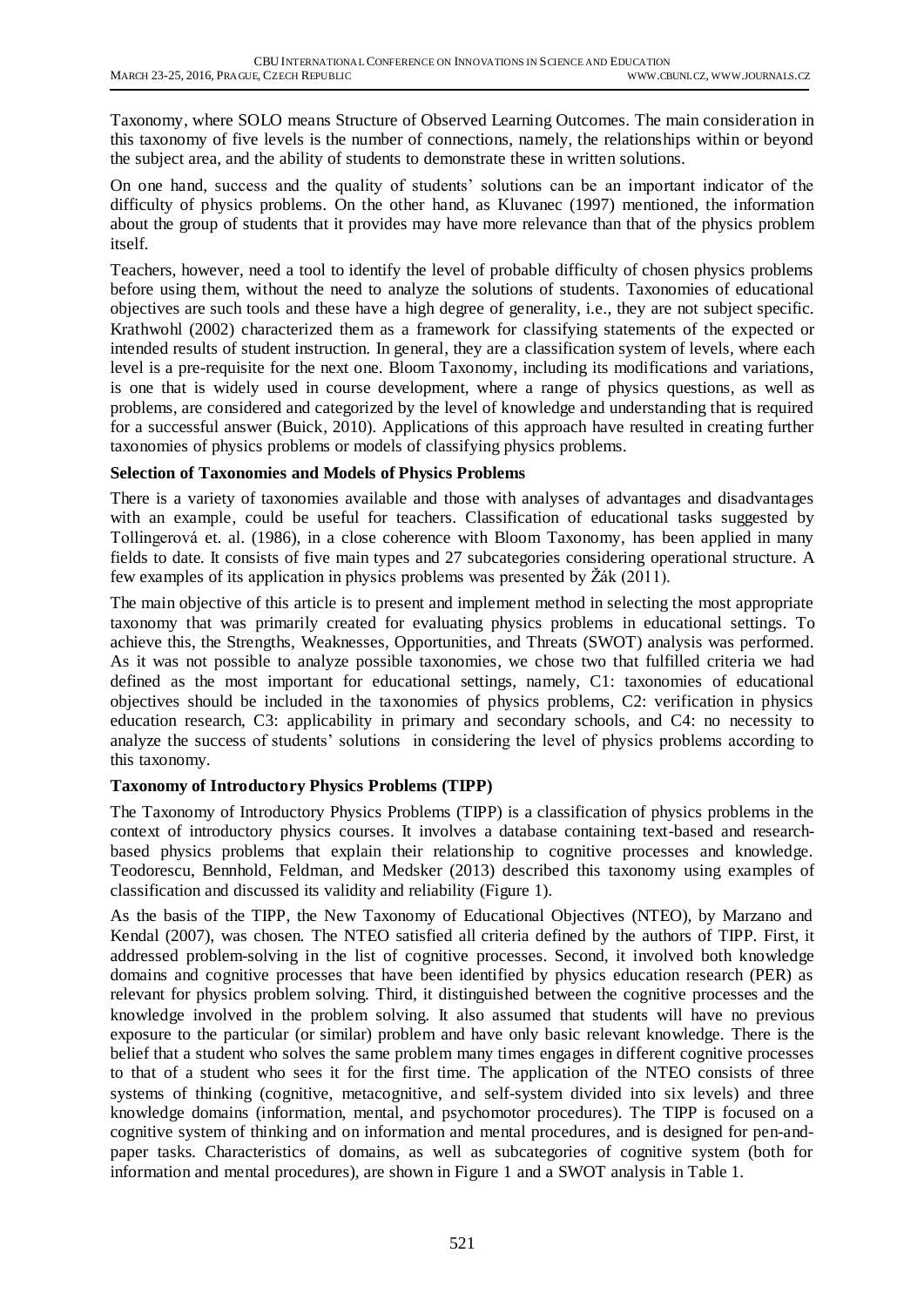Taxonomy, where SOLO means Structure of Observed Learning Outcomes. The main consideration in this taxonomy of five levels is the number of connections, namely, the relationships within or beyond the subject area, and the ability of students to demonstrate these in written solutions.

On one hand, success and the quality of students' solutions can be an important indicator of the difficulty of physics problems. On the other hand, as Kluvanec (1997) mentioned, the information about the group of students that it provides may have more relevance than that of the physics problem itself.

Teachers, however, need a tool to identify the level of probable difficulty of chosen physics problems before using them, without the need to analyze the solutions of students. Taxonomies of educational objectives are such tools and these have a high degree of generality, i.e., they are not subject specific. Krathwohl (2002) characterized them as a framework for classifying statements of the expected or intended results of student instruction. In general, they are a classification system of levels, where each level is a pre-requisite for the next one. Bloom Taxonomy, including its modifications and variations, is one that is widely used in course development, where a range of physics questions, as well as problems, are considered and categorized by the level of knowledge and understanding that is required for a successful answer (Buick, 2010). Applications of this approach have resulted in creating further taxonomies of physics problems or models of classifying physics problems.

## **Selection of Taxonomies and Models of Physics Problems**

There is a variety of taxonomies available and those with analyses of advantages and disadvantages with an example, could be useful for teachers. Classification of educational tasks suggested by Tollingerová et. al. (1986), in a close coherence with Bloom Taxonomy, has been applied in many fields to date. It consists of five main types and 27 subcategories considering operational structure. A few examples of its application in physics problems was presented by Žák (2011).

The main objective of this article is to present and implement method in selecting the most appropriate taxonomy that was primarily created for evaluating physics problems in educational settings. To achieve this, the Strengths, Weaknesses, Opportunities, and Threats (SWOT) analysis was performed. As it was not possible to analyze possible taxonomies, we chose two that fulfilled criteria we had defined as the most important for educational settings, namely, C1: taxonomies of educational objectives should be included in the taxonomies of physics problems, C2: verification in physics education research, C3: applicability in primary and secondary schools, and C4: no necessity to analyze the success of students' solutions in considering the level of physics problems according to this taxonomy.

## **Taxonomy of Introductory Physics Problems (TIPP)**

The Taxonomy of Introductory Physics Problems (TIPP) is a classification of physics problems in the context of introductory physics courses. It involves a database containing text-based and researchbased physics problems that explain their relationship to cognitive processes and knowledge. Teodorescu, Bennhold, Feldman, and Medsker (2013) described this taxonomy using examples of classification and discussed its validity and reliability (Figure 1).

As the basis of the TIPP, the New Taxonomy of Educational Objectives (NTEO), by Marzano and Kendal (2007), was chosen. The NTEO satisfied all criteria defined by the authors of TIPP. First, it addressed problem-solving in the list of cognitive processes. Second, it involved both knowledge domains and cognitive processes that have been identified by physics education research (PER) as relevant for physics problem solving. Third, it distinguished between the cognitive processes and the knowledge involved in the problem solving. It also assumed that students will have no previous exposure to the particular (or similar) problem and have only basic relevant knowledge. There is the belief that a student who solves the same problem many times engages in different cognitive processes to that of a student who sees it for the first time. The application of the NTEO consists of three systems of thinking (cognitive, metacognitive, and self-system divided into six levels) and three knowledge domains (information, mental, and psychomotor procedures). The TIPP is focused on a cognitive system of thinking and on information and mental procedures, and is designed for pen-andpaper tasks. Characteristics of domains, as well as subcategories of cognitive system (both for information and mental procedures), are shown in Figure 1 and a SWOT analysis in Table 1.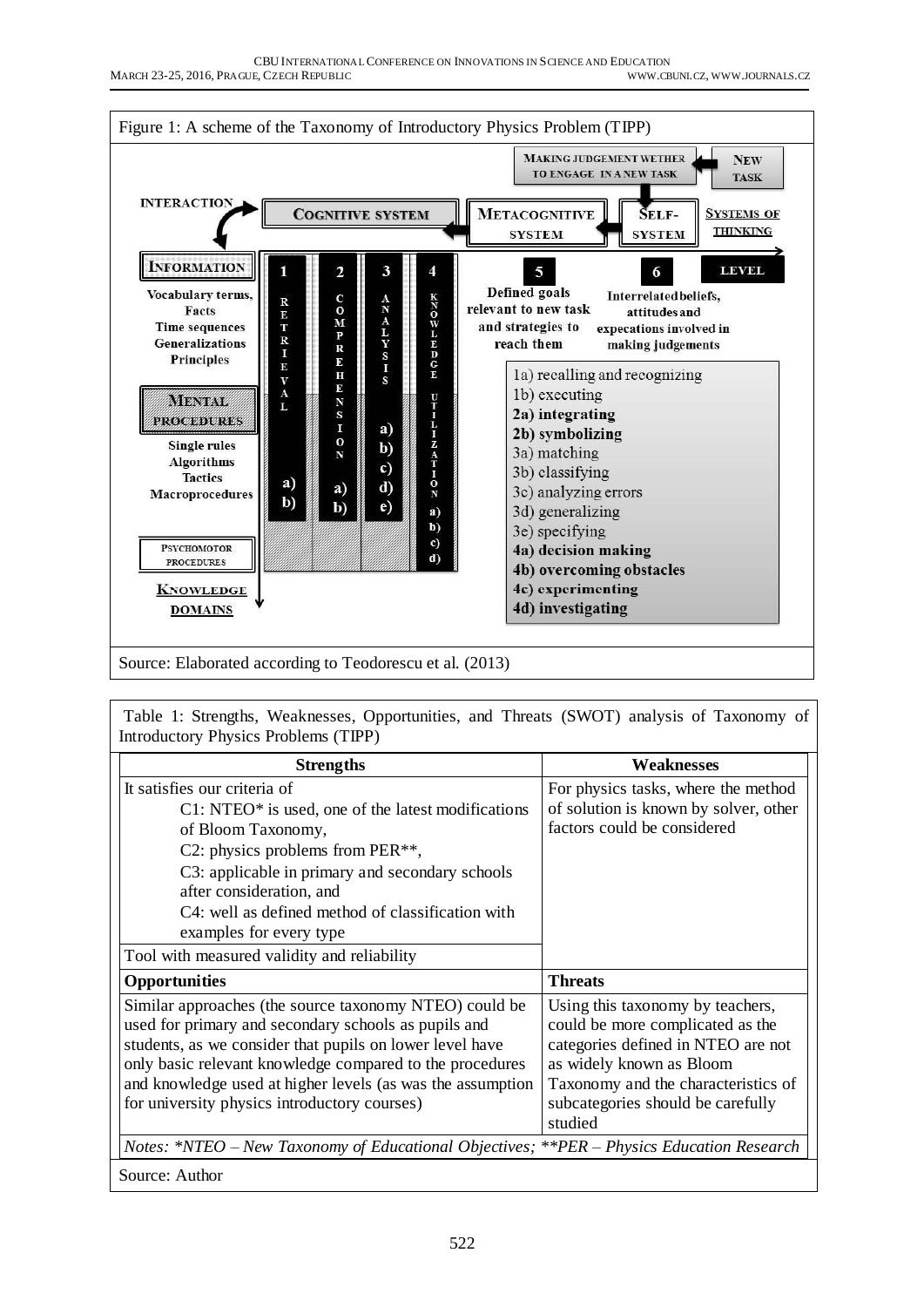

Source: Elaborated according to Teodorescu et al. (2013)

Table 1: Strengths, Weaknesses, Opportunities, and Threats (SWOT) analysis of Taxonomy of Introductory Physics Problems (TIPP)

| <b>Strengths</b>                                                                          | Weaknesses                                   |  |  |  |
|-------------------------------------------------------------------------------------------|----------------------------------------------|--|--|--|
| It satisfies our criteria of                                                              | For physics tasks, where the method          |  |  |  |
| $C1: NTEO*$ is used, one of the latest modifications                                      | of solution is known by solver, other        |  |  |  |
| of Bloom Taxonomy,                                                                        | factors could be considered                  |  |  |  |
| C2: physics problems from PER $**$ ,                                                      |                                              |  |  |  |
| C3: applicable in primary and secondary schools<br>after consideration, and               |                                              |  |  |  |
| C4: well as defined method of classification with                                         |                                              |  |  |  |
| examples for every type                                                                   |                                              |  |  |  |
| Tool with measured validity and reliability                                               |                                              |  |  |  |
| <b>Opportunities</b>                                                                      | <b>Threats</b>                               |  |  |  |
| Similar approaches (the source taxonomy NTEO) could be                                    | Using this taxonomy by teachers,             |  |  |  |
| used for primary and secondary schools as pupils and                                      | could be more complicated as the             |  |  |  |
| students, as we consider that pupils on lower level have                                  | categories defined in NTEO are not           |  |  |  |
| only basic relevant knowledge compared to the procedures                                  | as widely known as Bloom                     |  |  |  |
| and knowledge used at higher levels (as was the assumption                                | Taxonomy and the characteristics of          |  |  |  |
| for university physics introductory courses)                                              | subcategories should be carefully<br>studied |  |  |  |
| Notes: *NTEO - New Taxonomy of Educational Objectives; **PER - Physics Education Research |                                              |  |  |  |
| Source: Author                                                                            |                                              |  |  |  |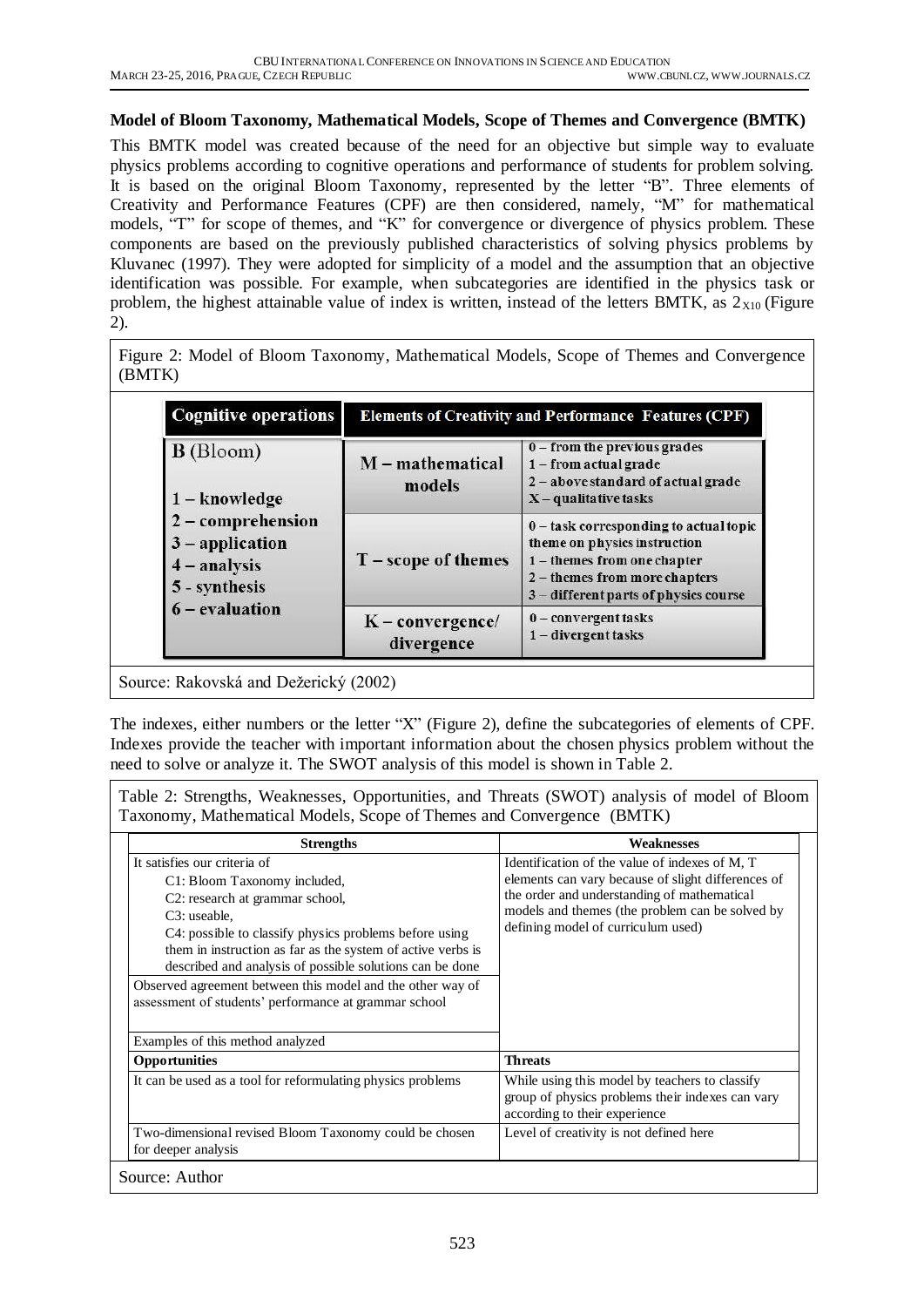## **Model of Bloom Taxonomy, Mathematical Models, Scope of Themes and Convergence (BMTK)**

This BMTK model was created because of the need for an objective but simple way to evaluate physics problems according to cognitive operations and performance of students for problem solving. It is based on the original Bloom Taxonomy, represented by the letter "B". Three elements of Creativity and Performance Features (CPF) are then considered, namely, "M" for mathematical models, "T" for scope of themes, and "K" for convergence or divergence of physics problem. These components are based on the previously published characteristics of solving physics problems by Kluvanec (1997). They were adopted for simplicity of a model and the assumption that an objective identification was possible. For example, when subcategories are identified in the physics task or problem, the highest attainable value of index is written, instead of the letters BMTK, as  $2<sub>X10</sub>$  (Figure 2).

| (BMTK)                                                                                             |                                                              | Figure 2: Model of Bloom Taxonomy, Mathematical Models, Scope of Themes and Convergence                                                                                         |  |
|----------------------------------------------------------------------------------------------------|--------------------------------------------------------------|---------------------------------------------------------------------------------------------------------------------------------------------------------------------------------|--|
| <b>Cognitive operations</b>                                                                        | <b>Elements of Creativity and Performance Features (CPF)</b> |                                                                                                                                                                                 |  |
| $\mathbf{B}$ (Bloom)<br>1 – knowledge                                                              | M – mathematical<br>models                                   | $0$ – from the previous grades<br>$1$ – from actual grade<br>2-above standard of actual grade<br>$X$ – qualitative tasks                                                        |  |
| 2 - comprehension<br>$3$ – application<br>$4 - \text{analysis}$<br>5 - synthesis<br>6 - evaluation | $T$ – scope of themes                                        | 0 - task corresponding to actual topic<br>theme on physics instruction<br>1 – themes from one chapter<br>2 – themes from more chapters<br>3 – different parts of physics course |  |
|                                                                                                    | $K$ – convergence/<br>divergence                             | 0 – convergent tasks<br>$1$ – divergent tasks                                                                                                                                   |  |

Source: Rakovská and Dežerický (2002)

The indexes, either numbers or the letter "X" (Figure 2), define the subcategories of elements of CPF. Indexes provide the teacher with important information about the chosen physics problem without the need to solve or analyze it. The SWOT analysis of this model is shown in Table 2.

Table 2: Strengths, Weaknesses, Opportunities, and Threats (SWOT) analysis of model of Bloom Taxonomy, Mathematical Models, Scope of Themes and Convergence (BMTK)

| <b>Strengths</b>                                                                                                        | <b>Weaknesses</b>                                                                                                                   |  |  |  |  |
|-------------------------------------------------------------------------------------------------------------------------|-------------------------------------------------------------------------------------------------------------------------------------|--|--|--|--|
| It satisfies our criteria of                                                                                            | Identification of the value of indexes of M, T                                                                                      |  |  |  |  |
| C1: Bloom Taxonomy included,                                                                                            | elements can vary because of slight differences of                                                                                  |  |  |  |  |
| C <sub>2</sub> : research at grammar school,                                                                            | the order and understanding of mathematical<br>models and themes (the problem can be solved by                                      |  |  |  |  |
| C <sub>3</sub> : useable.                                                                                               | defining model of curriculum used)                                                                                                  |  |  |  |  |
| C4: possible to classify physics problems before using                                                                  |                                                                                                                                     |  |  |  |  |
| them in instruction as far as the system of active verbs is<br>described and analysis of possible solutions can be done |                                                                                                                                     |  |  |  |  |
| Observed agreement between this model and the other way of<br>assessment of students' performance at grammar school     |                                                                                                                                     |  |  |  |  |
| Examples of this method analyzed                                                                                        |                                                                                                                                     |  |  |  |  |
| <b>Opportunities</b>                                                                                                    | <b>Threats</b>                                                                                                                      |  |  |  |  |
| It can be used as a tool for reformulating physics problems                                                             | While using this model by teachers to classify<br>group of physics problems their indexes can vary<br>according to their experience |  |  |  |  |
| Two-dimensional revised Bloom Taxonomy could be chosen<br>for deeper analysis                                           | Level of creativity is not defined here                                                                                             |  |  |  |  |
| Source: Author                                                                                                          |                                                                                                                                     |  |  |  |  |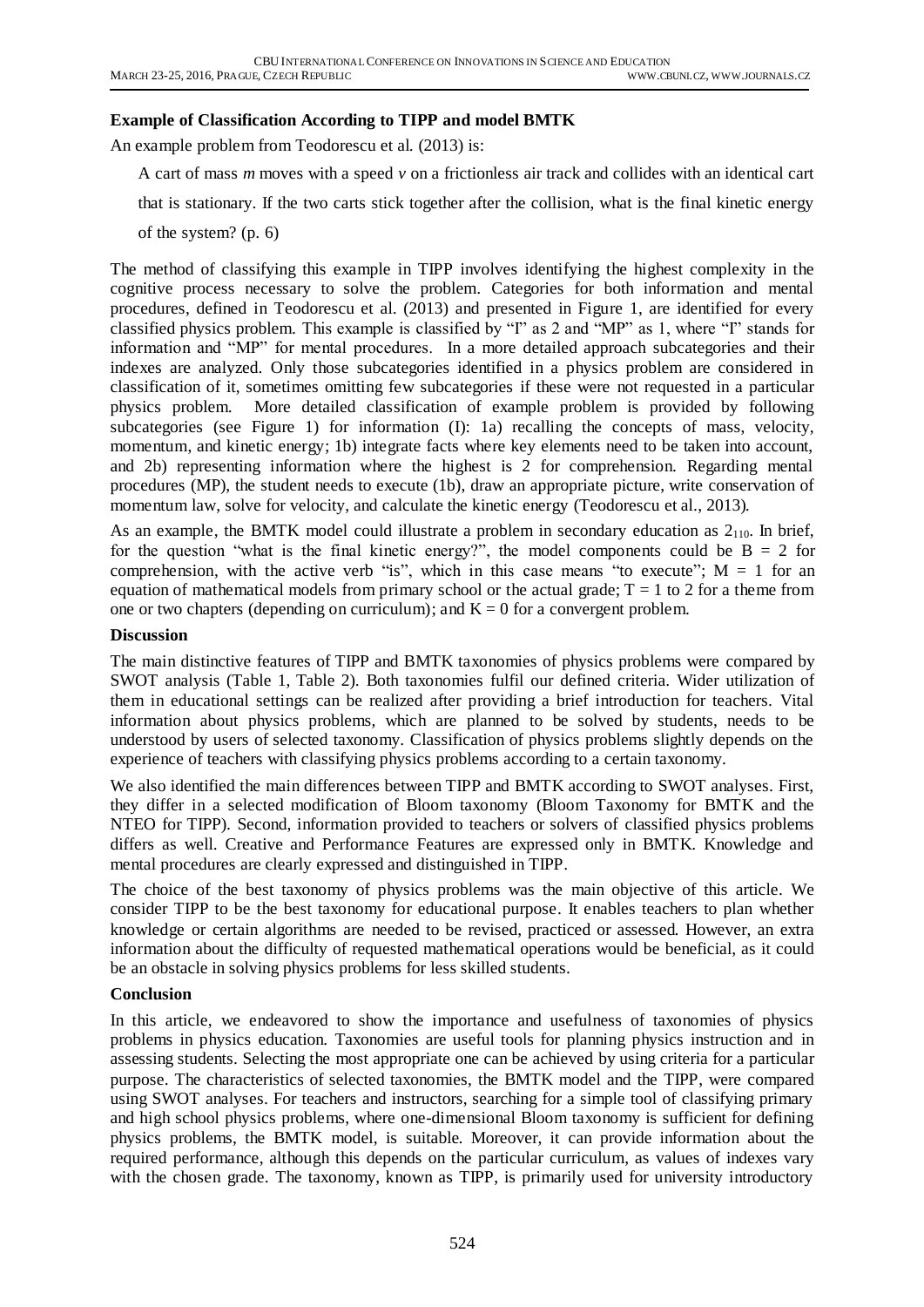## **Example of Classification According to TIPP and model BMTK**

An example problem from Teodorescu et al. (2013) is:

A cart of mass *m* moves with a speed *v* on a frictionless air track and collides with an identical cart

that is stationary. If the two carts stick together after the collision, what is the final kinetic energy of the system? (p. 6)

The method of classifying this example in TIPP involves identifying the highest complexity in the cognitive process necessary to solve the problem. Categories for both information and mental procedures, defined in Teodorescu et al. (2013) and presented in Figure 1, are identified for every classified physics problem. This example is classified by "I" as 2 and "MP" as 1, where "I" stands for information and "MP" for mental procedures. In a more detailed approach subcategories and their indexes are analyzed. Only those subcategories identified in a physics problem are considered in classification of it, sometimes omitting few subcategories if these were not requested in a particular physics problem. More detailed classification of example problem is provided by following subcategories (see Figure 1) for information (I): 1a) recalling the concepts of mass, velocity, momentum, and kinetic energy; 1b) integrate facts where key elements need to be taken into account, and 2b) representing information where the highest is 2 for comprehension. Regarding mental procedures (MP), the student needs to execute (1b), draw an appropriate picture, write conservation of momentum law, solve for velocity, and calculate the kinetic energy (Teodorescu et al., 2013).

As an example, the BMTK model could illustrate a problem in secondary education as  $2_{110}$ . In brief, for the question "what is the final kinetic energy?", the model components could be  $B = 2$  for comprehension, with the active verb "is", which in this case means "to execute";  $M = 1$  for an equation of mathematical models from primary school or the actual grade;  $T = 1$  to 2 for a theme from one or two chapters (depending on curriculum); and  $K = 0$  for a convergent problem.

#### **Discussion**

The main distinctive features of TIPP and BMTK taxonomies of physics problems were compared by SWOT analysis (Table 1, Table 2). Both taxonomies fulfil our defined criteria. Wider utilization of them in educational settings can be realized after providing a brief introduction for teachers. Vital information about physics problems, which are planned to be solved by students, needs to be understood by users of selected taxonomy. Classification of physics problems slightly depends on the experience of teachers with classifying physics problems according to a certain taxonomy.

We also identified the main differences between TIPP and BMTK according to SWOT analyses. First, they differ in a selected modification of Bloom taxonomy (Bloom Taxonomy for BMTK and the NTEO for TIPP). Second, information provided to teachers or solvers of classified physics problems differs as well. Creative and Performance Features are expressed only in BMTK. Knowledge and mental procedures are clearly expressed and distinguished in TIPP.

The choice of the best taxonomy of physics problems was the main objective of this article. We consider TIPP to be the best taxonomy for educational purpose. It enables teachers to plan whether knowledge or certain algorithms are needed to be revised, practiced or assessed. However, an extra information about the difficulty of requested mathematical operations would be beneficial, as it could be an obstacle in solving physics problems for less skilled students.

## **Conclusion**

In this article, we endeavored to show the importance and usefulness of taxonomies of physics problems in physics education. Taxonomies are useful tools for planning physics instruction and in assessing students. Selecting the most appropriate one can be achieved by using criteria for a particular purpose. The characteristics of selected taxonomies, the BMTK model and the TIPP, were compared using SWOT analyses. For teachers and instructors, searching for a simple tool of classifying primary and high school physics problems, where one-dimensional Bloom taxonomy is sufficient for defining physics problems, the BMTK model, is suitable. Moreover, it can provide information about the required performance, although this depends on the particular curriculum, as values of indexes vary with the chosen grade. The taxonomy, known as TIPP, is primarily used for university introductory